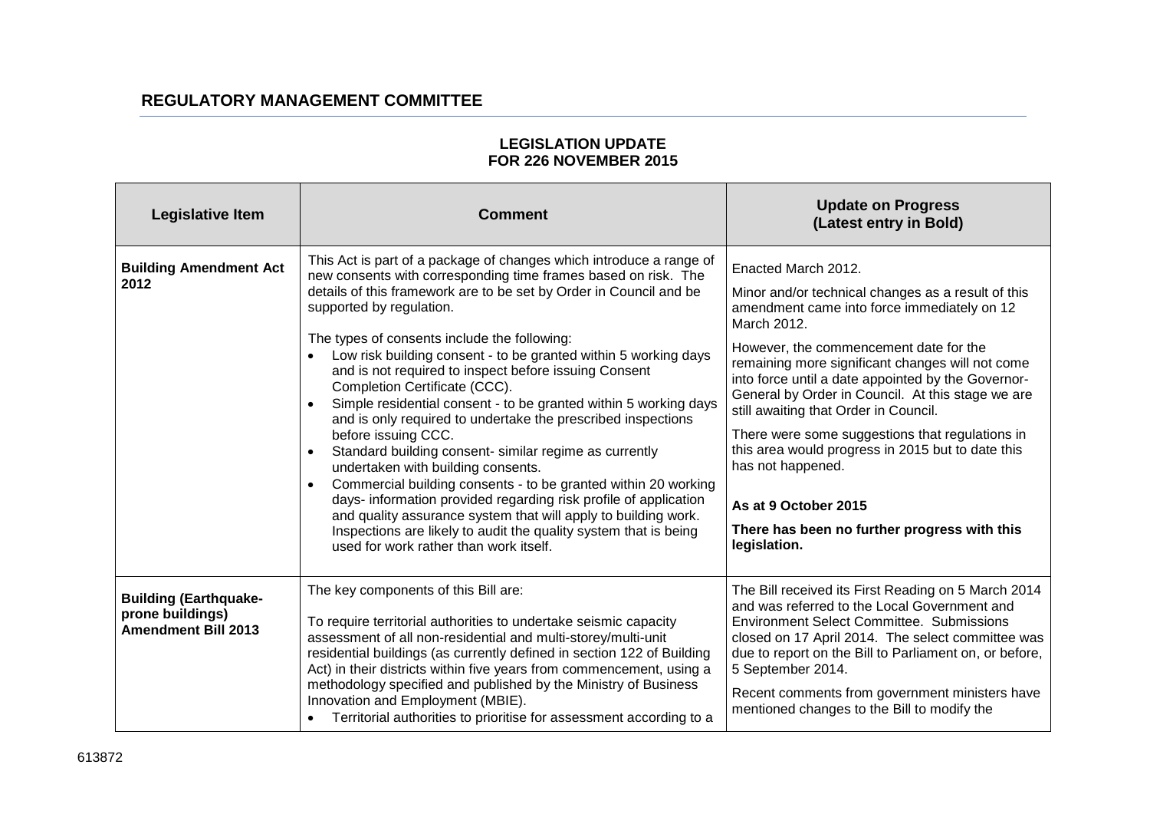| Legislative Item                                                               | <b>Comment</b>                                                                                                                                                                                                                                                                                                                                                                                                                                                                                                                                                                                                                                                                                                                                                                                                                                                                                                                                                                                                                                                               | <b>Update on Progress</b><br>(Latest entry in Bold)                                                                                                                                                                                                                                                                                                                                                                                                                                                                                                                                                            |
|--------------------------------------------------------------------------------|------------------------------------------------------------------------------------------------------------------------------------------------------------------------------------------------------------------------------------------------------------------------------------------------------------------------------------------------------------------------------------------------------------------------------------------------------------------------------------------------------------------------------------------------------------------------------------------------------------------------------------------------------------------------------------------------------------------------------------------------------------------------------------------------------------------------------------------------------------------------------------------------------------------------------------------------------------------------------------------------------------------------------------------------------------------------------|----------------------------------------------------------------------------------------------------------------------------------------------------------------------------------------------------------------------------------------------------------------------------------------------------------------------------------------------------------------------------------------------------------------------------------------------------------------------------------------------------------------------------------------------------------------------------------------------------------------|
| <b>Building Amendment Act</b><br>2012                                          | This Act is part of a package of changes which introduce a range of<br>new consents with corresponding time frames based on risk. The<br>details of this framework are to be set by Order in Council and be<br>supported by regulation.<br>The types of consents include the following:<br>Low risk building consent - to be granted within 5 working days<br>and is not required to inspect before issuing Consent<br>Completion Certificate (CCC).<br>Simple residential consent - to be granted within 5 working days<br>$\bullet$<br>and is only required to undertake the prescribed inspections<br>before issuing CCC.<br>Standard building consent- similar regime as currently<br>$\bullet$<br>undertaken with building consents.<br>Commercial building consents - to be granted within 20 working<br>$\bullet$<br>days- information provided regarding risk profile of application<br>and quality assurance system that will apply to building work.<br>Inspections are likely to audit the quality system that is being<br>used for work rather than work itself. | Enacted March 2012.<br>Minor and/or technical changes as a result of this<br>amendment came into force immediately on 12<br>March 2012.<br>However, the commencement date for the<br>remaining more significant changes will not come<br>into force until a date appointed by the Governor-<br>General by Order in Council. At this stage we are<br>still awaiting that Order in Council.<br>There were some suggestions that regulations in<br>this area would progress in 2015 but to date this<br>has not happened.<br>As at 9 October 2015<br>There has been no further progress with this<br>legislation. |
| <b>Building (Earthquake-</b><br>prone buildings)<br><b>Amendment Bill 2013</b> | The key components of this Bill are:<br>To require territorial authorities to undertake seismic capacity<br>assessment of all non-residential and multi-storey/multi-unit<br>residential buildings (as currently defined in section 122 of Building<br>Act) in their districts within five years from commencement, using a<br>methodology specified and published by the Ministry of Business<br>Innovation and Employment (MBIE).<br>Territorial authorities to prioritise for assessment according to a                                                                                                                                                                                                                                                                                                                                                                                                                                                                                                                                                                   | The Bill received its First Reading on 5 March 2014<br>and was referred to the Local Government and<br><b>Environment Select Committee. Submissions</b><br>closed on 17 April 2014. The select committee was<br>due to report on the Bill to Parliament on, or before,<br>5 September 2014.<br>Recent comments from government ministers have<br>mentioned changes to the Bill to modify the                                                                                                                                                                                                                   |

## **LEGISLATION UPDATE FOR 226 NOVEMBER 2015**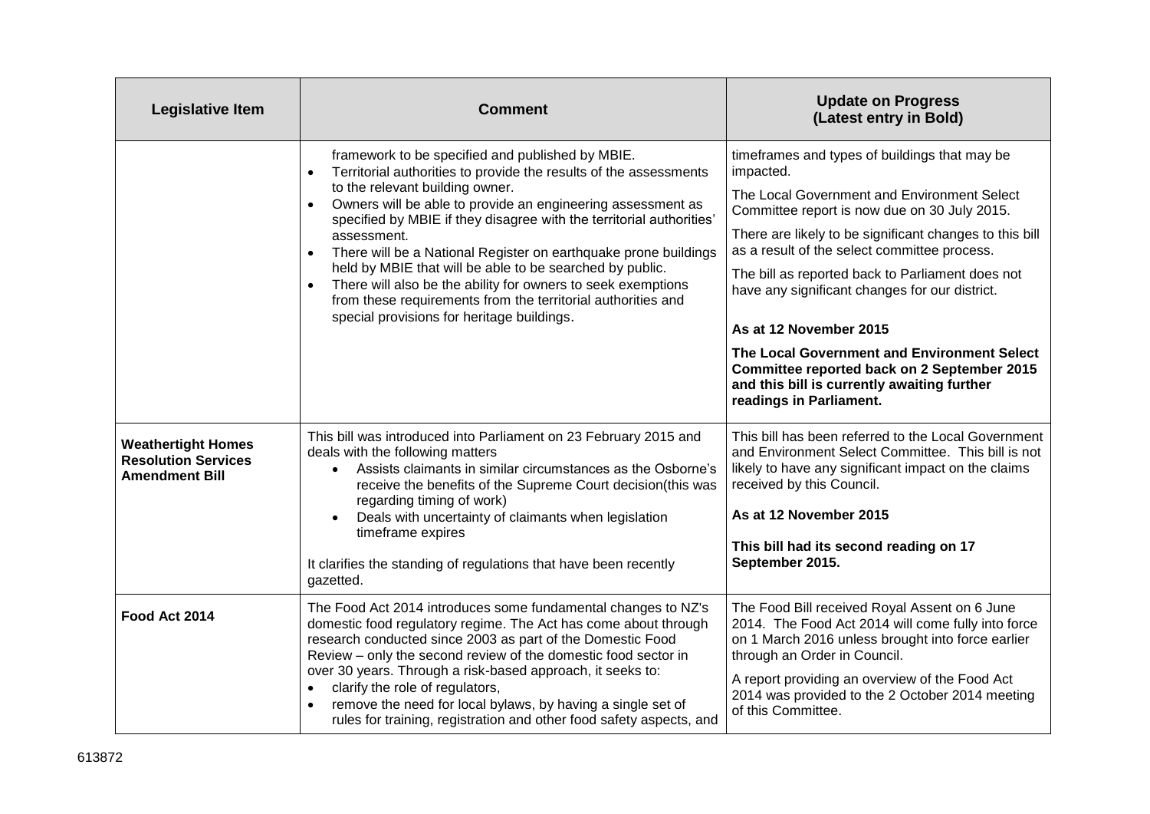| <b>Legislative Item</b>                                                          | <b>Comment</b>                                                                                                                                                                                                                                                                                                                                                                                                                                                                                                                                                                                                                                                                  | <b>Update on Progress</b><br>(Latest entry in Bold)                                                                                                                                                                                                                                                                                                                                                                                                                                                                                                                                 |
|----------------------------------------------------------------------------------|---------------------------------------------------------------------------------------------------------------------------------------------------------------------------------------------------------------------------------------------------------------------------------------------------------------------------------------------------------------------------------------------------------------------------------------------------------------------------------------------------------------------------------------------------------------------------------------------------------------------------------------------------------------------------------|-------------------------------------------------------------------------------------------------------------------------------------------------------------------------------------------------------------------------------------------------------------------------------------------------------------------------------------------------------------------------------------------------------------------------------------------------------------------------------------------------------------------------------------------------------------------------------------|
|                                                                                  | framework to be specified and published by MBIE.<br>Territorial authorities to provide the results of the assessments<br>$\bullet$<br>to the relevant building owner.<br>Owners will be able to provide an engineering assessment as<br>$\bullet$<br>specified by MBIE if they disagree with the territorial authorities'<br>assessment.<br>There will be a National Register on earthquake prone buildings<br>$\bullet$<br>held by MBIE that will be able to be searched by public.<br>There will also be the ability for owners to seek exemptions<br>$\bullet$<br>from these requirements from the territorial authorities and<br>special provisions for heritage buildings. | timeframes and types of buildings that may be<br>impacted.<br>The Local Government and Environment Select<br>Committee report is now due on 30 July 2015.<br>There are likely to be significant changes to this bill<br>as a result of the select committee process.<br>The bill as reported back to Parliament does not<br>have any significant changes for our district.<br>As at 12 November 2015<br>The Local Government and Environment Select<br><b>Committee reported back on 2 September 2015</b><br>and this bill is currently awaiting further<br>readings in Parliament. |
| <b>Weathertight Homes</b><br><b>Resolution Services</b><br><b>Amendment Bill</b> | This bill was introduced into Parliament on 23 February 2015 and<br>deals with the following matters<br>• Assists claimants in similar circumstances as the Osborne's<br>receive the benefits of the Supreme Court decision(this was<br>regarding timing of work)<br>Deals with uncertainty of claimants when legislation<br>$\bullet$<br>timeframe expires<br>It clarifies the standing of regulations that have been recently<br>gazetted.                                                                                                                                                                                                                                    | This bill has been referred to the Local Government<br>and Environment Select Committee. This bill is not<br>likely to have any significant impact on the claims<br>received by this Council.<br>As at 12 November 2015<br>This bill had its second reading on 17<br>September 2015.                                                                                                                                                                                                                                                                                                |
| Food Act 2014                                                                    | The Food Act 2014 introduces some fundamental changes to NZ's<br>domestic food regulatory regime. The Act has come about through<br>research conducted since 2003 as part of the Domestic Food<br>Review - only the second review of the domestic food sector in<br>over 30 years. Through a risk-based approach, it seeks to:<br>clarify the role of regulators,<br>$\bullet$<br>remove the need for local bylaws, by having a single set of<br>$\bullet$<br>rules for training, registration and other food safety aspects, and                                                                                                                                               | The Food Bill received Royal Assent on 6 June<br>2014. The Food Act 2014 will come fully into force<br>on 1 March 2016 unless brought into force earlier<br>through an Order in Council.<br>A report providing an overview of the Food Act<br>2014 was provided to the 2 October 2014 meeting<br>of this Committee.                                                                                                                                                                                                                                                                 |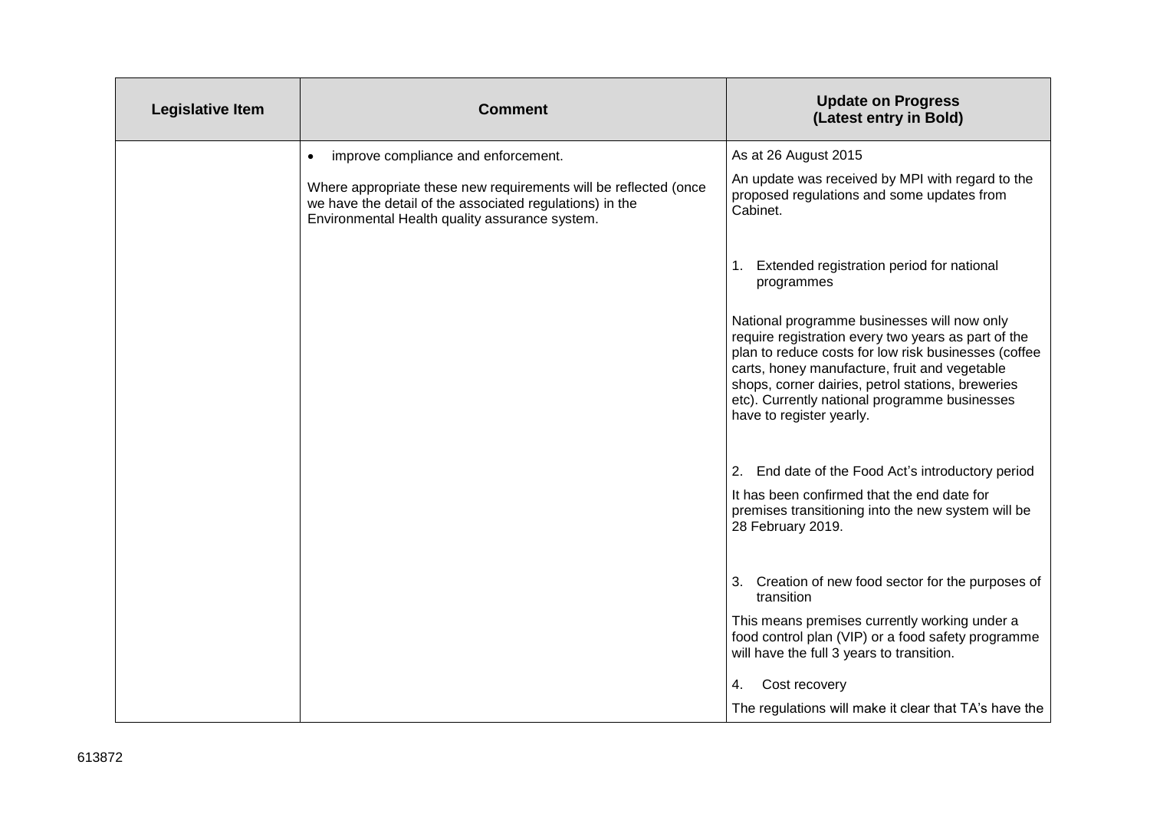| <b>Legislative Item</b> | <b>Comment</b>                                                                                                                                                                 | <b>Update on Progress</b><br>(Latest entry in Bold)                                                                                                                                                                                                                                                                                           |
|-------------------------|--------------------------------------------------------------------------------------------------------------------------------------------------------------------------------|-----------------------------------------------------------------------------------------------------------------------------------------------------------------------------------------------------------------------------------------------------------------------------------------------------------------------------------------------|
|                         | improve compliance and enforcement.                                                                                                                                            | As at 26 August 2015                                                                                                                                                                                                                                                                                                                          |
|                         | Where appropriate these new requirements will be reflected (once<br>we have the detail of the associated regulations) in the<br>Environmental Health quality assurance system. | An update was received by MPI with regard to the<br>proposed regulations and some updates from<br>Cabinet.                                                                                                                                                                                                                                    |
|                         |                                                                                                                                                                                | 1. Extended registration period for national<br>programmes                                                                                                                                                                                                                                                                                    |
|                         |                                                                                                                                                                                | National programme businesses will now only<br>require registration every two years as part of the<br>plan to reduce costs for low risk businesses (coffee<br>carts, honey manufacture, fruit and vegetable<br>shops, corner dairies, petrol stations, breweries<br>etc). Currently national programme businesses<br>have to register yearly. |
|                         |                                                                                                                                                                                | 2. End date of the Food Act's introductory period<br>It has been confirmed that the end date for                                                                                                                                                                                                                                              |
|                         |                                                                                                                                                                                | premises transitioning into the new system will be<br>28 February 2019.                                                                                                                                                                                                                                                                       |
|                         |                                                                                                                                                                                | 3. Creation of new food sector for the purposes of<br>transition                                                                                                                                                                                                                                                                              |
|                         |                                                                                                                                                                                | This means premises currently working under a<br>food control plan (VIP) or a food safety programme<br>will have the full 3 years to transition.                                                                                                                                                                                              |
|                         |                                                                                                                                                                                | Cost recovery<br>4.                                                                                                                                                                                                                                                                                                                           |
|                         |                                                                                                                                                                                | The regulations will make it clear that TA's have the                                                                                                                                                                                                                                                                                         |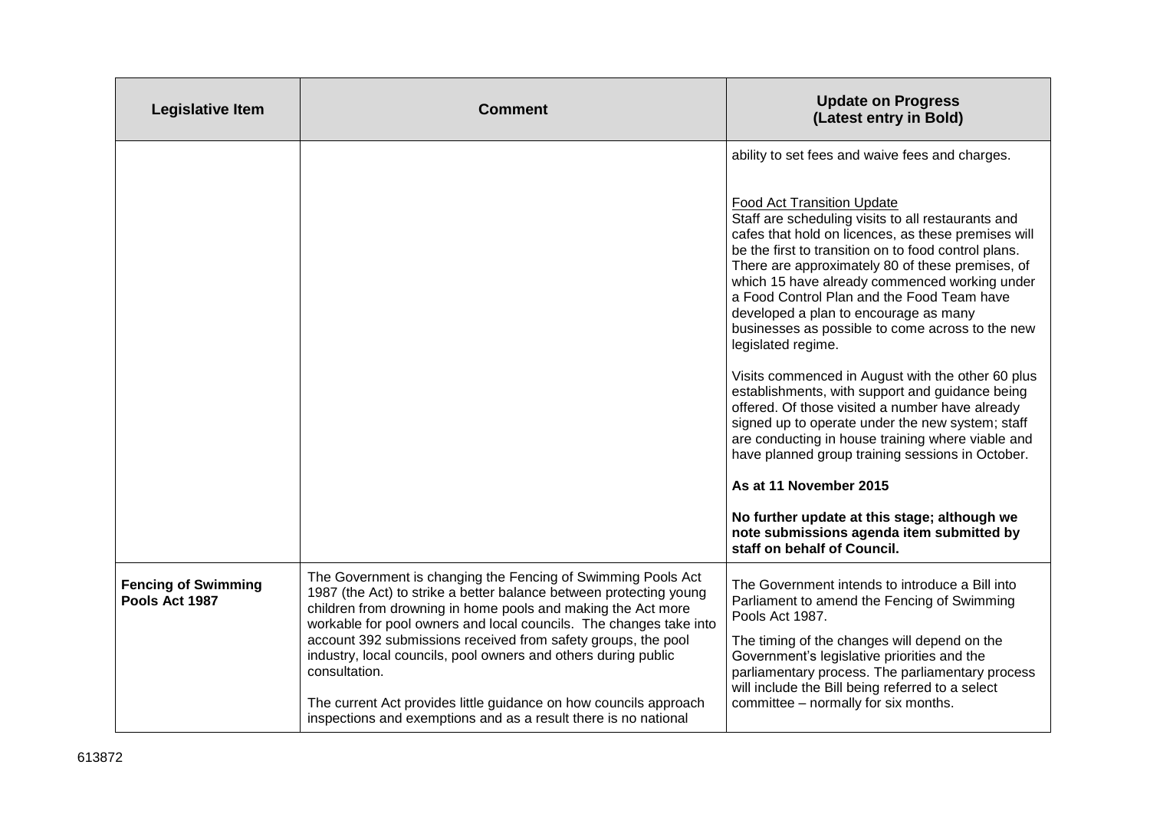| <b>Legislative Item</b>                      | <b>Comment</b>                                                                                                                                                                                                                                                                                                                                                                                                                                                                                                                                                       | <b>Update on Progress</b><br>(Latest entry in Bold)                                                                                                                                                                                                                                                                                                                                                                                                                                                                                                                                                                                                                                                                                                                                                                                                                               |
|----------------------------------------------|----------------------------------------------------------------------------------------------------------------------------------------------------------------------------------------------------------------------------------------------------------------------------------------------------------------------------------------------------------------------------------------------------------------------------------------------------------------------------------------------------------------------------------------------------------------------|-----------------------------------------------------------------------------------------------------------------------------------------------------------------------------------------------------------------------------------------------------------------------------------------------------------------------------------------------------------------------------------------------------------------------------------------------------------------------------------------------------------------------------------------------------------------------------------------------------------------------------------------------------------------------------------------------------------------------------------------------------------------------------------------------------------------------------------------------------------------------------------|
|                                              |                                                                                                                                                                                                                                                                                                                                                                                                                                                                                                                                                                      | ability to set fees and waive fees and charges.<br><b>Food Act Transition Update</b><br>Staff are scheduling visits to all restaurants and<br>cafes that hold on licences, as these premises will<br>be the first to transition on to food control plans.<br>There are approximately 80 of these premises, of<br>which 15 have already commenced working under<br>a Food Control Plan and the Food Team have<br>developed a plan to encourage as many<br>businesses as possible to come across to the new<br>legislated regime.<br>Visits commenced in August with the other 60 plus<br>establishments, with support and guidance being<br>offered. Of those visited a number have already<br>signed up to operate under the new system; staff<br>are conducting in house training where viable and<br>have planned group training sessions in October.<br>As at 11 November 2015 |
|                                              |                                                                                                                                                                                                                                                                                                                                                                                                                                                                                                                                                                      | No further update at this stage; although we<br>note submissions agenda item submitted by<br>staff on behalf of Council.                                                                                                                                                                                                                                                                                                                                                                                                                                                                                                                                                                                                                                                                                                                                                          |
| <b>Fencing of Swimming</b><br>Pools Act 1987 | The Government is changing the Fencing of Swimming Pools Act<br>1987 (the Act) to strike a better balance between protecting young<br>children from drowning in home pools and making the Act more<br>workable for pool owners and local councils. The changes take into<br>account 392 submissions received from safety groups, the pool<br>industry, local councils, pool owners and others during public<br>consultation.<br>The current Act provides little guidance on how councils approach<br>inspections and exemptions and as a result there is no national | The Government intends to introduce a Bill into<br>Parliament to amend the Fencing of Swimming<br>Pools Act 1987.<br>The timing of the changes will depend on the<br>Government's legislative priorities and the<br>parliamentary process. The parliamentary process<br>will include the Bill being referred to a select<br>committee - normally for six months.                                                                                                                                                                                                                                                                                                                                                                                                                                                                                                                  |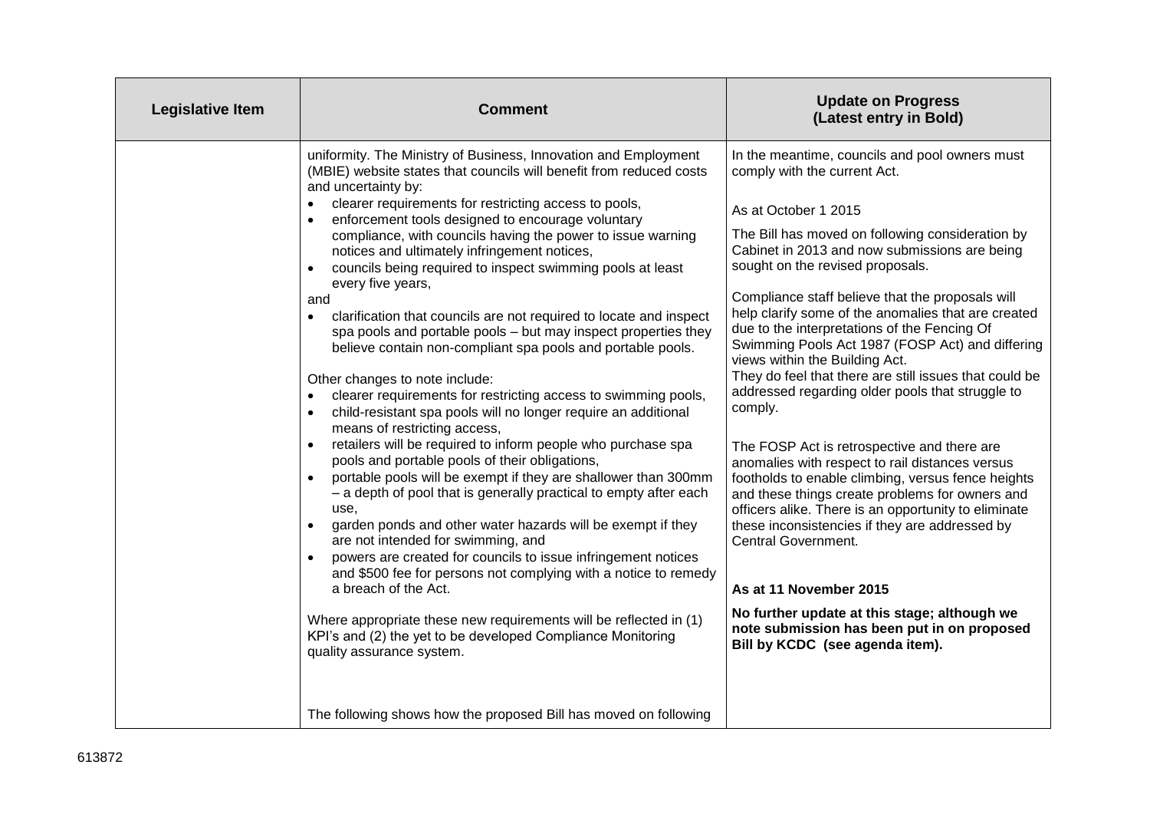| <b>Legislative Item</b> | <b>Comment</b>                                                                                                                                                                                                                                                                                                                                                                                                                                                                                                                                                                                                                                                                                                                                                                                                                                                                                                                                                                                                                                                                                                                                                                                                                                                                                                                                                                                                                                                                                                                                                                                                                                                                                                               | <b>Update on Progress</b><br>(Latest entry in Bold)                                                                                                                                                                                                                                                                                                                                                                                                                                                                                                                                                                                                                                                                                                                                                                                                                                                                                                                                                                                                                                                                                      |
|-------------------------|------------------------------------------------------------------------------------------------------------------------------------------------------------------------------------------------------------------------------------------------------------------------------------------------------------------------------------------------------------------------------------------------------------------------------------------------------------------------------------------------------------------------------------------------------------------------------------------------------------------------------------------------------------------------------------------------------------------------------------------------------------------------------------------------------------------------------------------------------------------------------------------------------------------------------------------------------------------------------------------------------------------------------------------------------------------------------------------------------------------------------------------------------------------------------------------------------------------------------------------------------------------------------------------------------------------------------------------------------------------------------------------------------------------------------------------------------------------------------------------------------------------------------------------------------------------------------------------------------------------------------------------------------------------------------------------------------------------------------|------------------------------------------------------------------------------------------------------------------------------------------------------------------------------------------------------------------------------------------------------------------------------------------------------------------------------------------------------------------------------------------------------------------------------------------------------------------------------------------------------------------------------------------------------------------------------------------------------------------------------------------------------------------------------------------------------------------------------------------------------------------------------------------------------------------------------------------------------------------------------------------------------------------------------------------------------------------------------------------------------------------------------------------------------------------------------------------------------------------------------------------|
|                         | uniformity. The Ministry of Business, Innovation and Employment<br>(MBIE) website states that councils will benefit from reduced costs<br>and uncertainty by:<br>clearer requirements for restricting access to pools,<br>enforcement tools designed to encourage voluntary<br>$\bullet$<br>compliance, with councils having the power to issue warning<br>notices and ultimately infringement notices,<br>councils being required to inspect swimming pools at least<br>every five years,<br>and<br>clarification that councils are not required to locate and inspect<br>$\bullet$<br>spa pools and portable pools - but may inspect properties they<br>believe contain non-compliant spa pools and portable pools.<br>Other changes to note include:<br>clearer requirements for restricting access to swimming pools,<br>$\bullet$<br>child-resistant spa pools will no longer require an additional<br>$\bullet$<br>means of restricting access,<br>retailers will be required to inform people who purchase spa<br>pools and portable pools of their obligations,<br>portable pools will be exempt if they are shallower than 300mm<br>- a depth of pool that is generally practical to empty after each<br>use.<br>garden ponds and other water hazards will be exempt if they<br>are not intended for swimming, and<br>powers are created for councils to issue infringement notices<br>and \$500 fee for persons not complying with a notice to remedy<br>a breach of the Act.<br>Where appropriate these new requirements will be reflected in (1)<br>KPI's and (2) the yet to be developed Compliance Monitoring<br>quality assurance system.<br>The following shows how the proposed Bill has moved on following | In the meantime, councils and pool owners must<br>comply with the current Act.<br>As at October 1 2015<br>The Bill has moved on following consideration by<br>Cabinet in 2013 and now submissions are being<br>sought on the revised proposals.<br>Compliance staff believe that the proposals will<br>help clarify some of the anomalies that are created<br>due to the interpretations of the Fencing Of<br>Swimming Pools Act 1987 (FOSP Act) and differing<br>views within the Building Act.<br>They do feel that there are still issues that could be<br>addressed regarding older pools that struggle to<br>comply.<br>The FOSP Act is retrospective and there are<br>anomalies with respect to rail distances versus<br>footholds to enable climbing, versus fence heights<br>and these things create problems for owners and<br>officers alike. There is an opportunity to eliminate<br>these inconsistencies if they are addressed by<br><b>Central Government.</b><br>As at 11 November 2015<br>No further update at this stage; although we<br>note submission has been put in on proposed<br>Bill by KCDC (see agenda item). |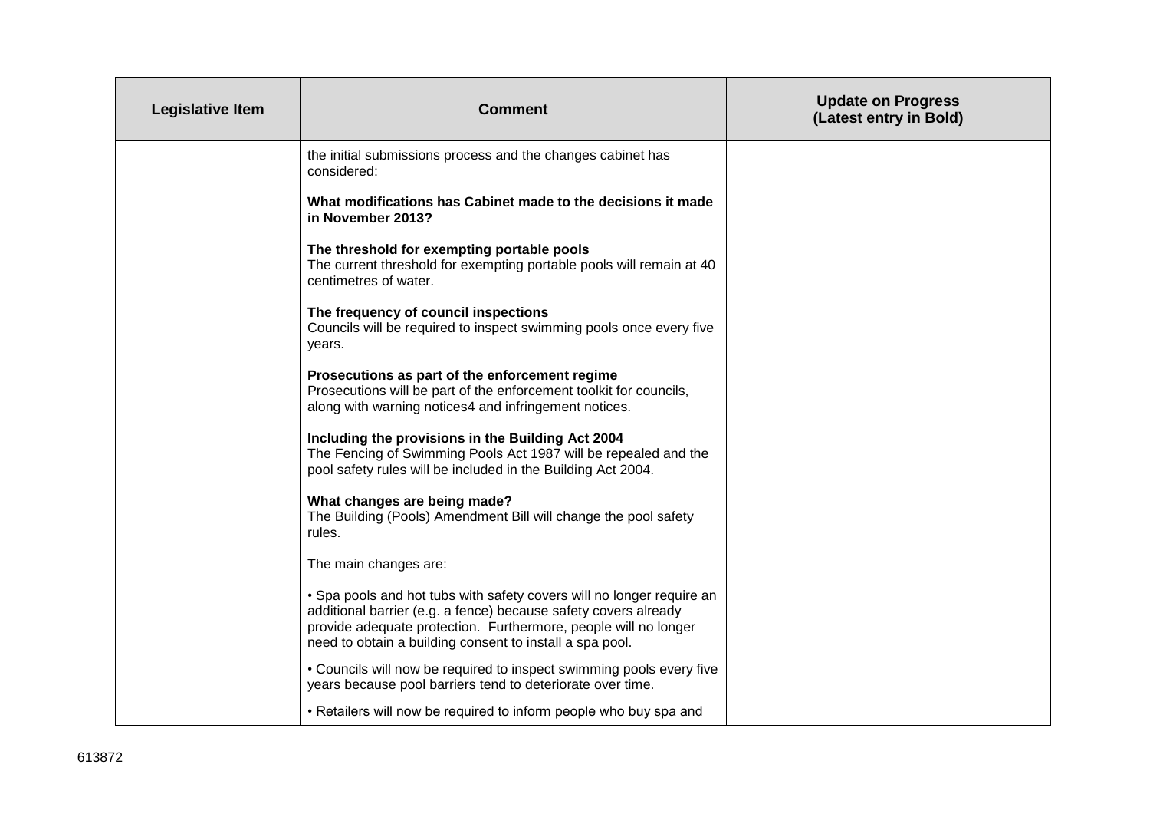| Legislative Item | <b>Comment</b>                                                                                                                                                                                                                                                          | <b>Update on Progress</b><br>(Latest entry in Bold) |
|------------------|-------------------------------------------------------------------------------------------------------------------------------------------------------------------------------------------------------------------------------------------------------------------------|-----------------------------------------------------|
|                  | the initial submissions process and the changes cabinet has<br>considered:                                                                                                                                                                                              |                                                     |
|                  | What modifications has Cabinet made to the decisions it made<br>in November 2013?                                                                                                                                                                                       |                                                     |
|                  | The threshold for exempting portable pools<br>The current threshold for exempting portable pools will remain at 40<br>centimetres of water.                                                                                                                             |                                                     |
|                  | The frequency of council inspections<br>Councils will be required to inspect swimming pools once every five<br>years.                                                                                                                                                   |                                                     |
|                  | Prosecutions as part of the enforcement regime<br>Prosecutions will be part of the enforcement toolkit for councils,<br>along with warning notices4 and infringement notices.                                                                                           |                                                     |
|                  | Including the provisions in the Building Act 2004<br>The Fencing of Swimming Pools Act 1987 will be repealed and the<br>pool safety rules will be included in the Building Act 2004.                                                                                    |                                                     |
|                  | What changes are being made?<br>The Building (Pools) Amendment Bill will change the pool safety<br>rules.                                                                                                                                                               |                                                     |
|                  | The main changes are:                                                                                                                                                                                                                                                   |                                                     |
|                  | . Spa pools and hot tubs with safety covers will no longer require an<br>additional barrier (e.g. a fence) because safety covers already<br>provide adequate protection. Furthermore, people will no longer<br>need to obtain a building consent to install a spa pool. |                                                     |
|                  | • Councils will now be required to inspect swimming pools every five<br>years because pool barriers tend to deteriorate over time.                                                                                                                                      |                                                     |
|                  | • Retailers will now be required to inform people who buy spa and                                                                                                                                                                                                       |                                                     |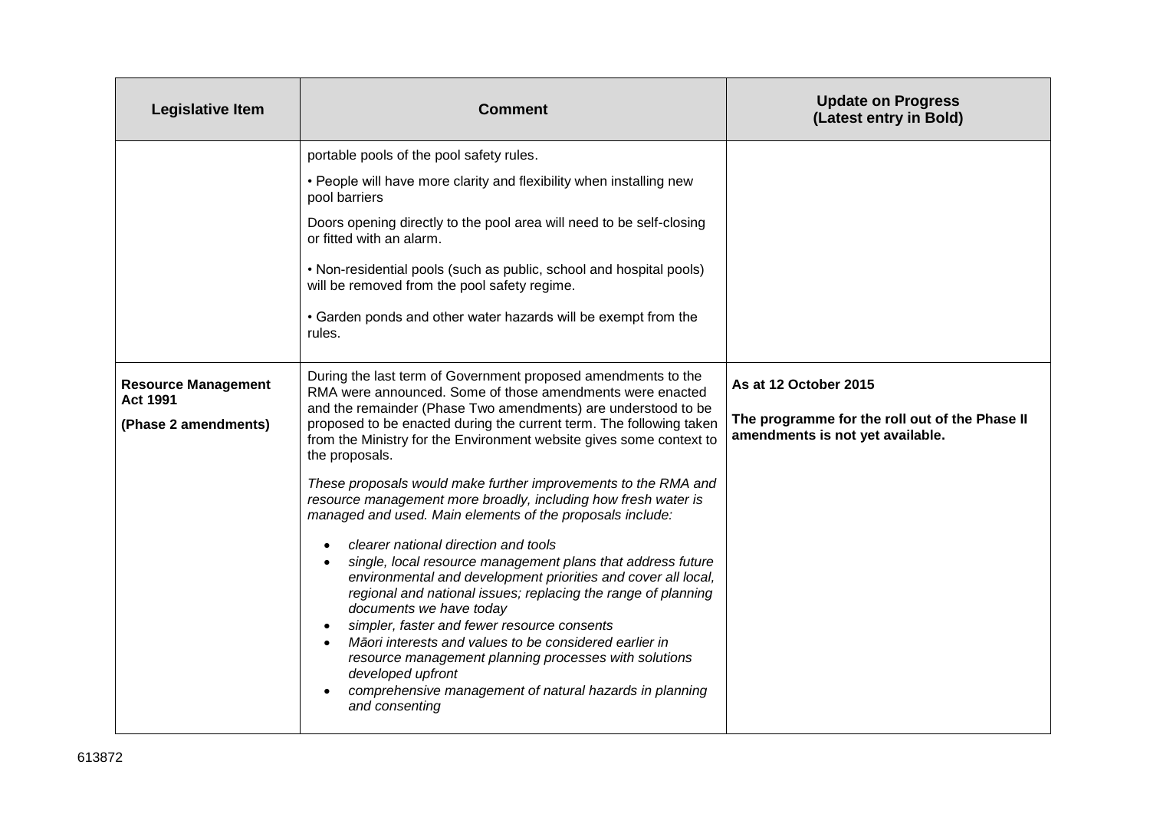| <b>Legislative Item</b>                       | <b>Comment</b>                                                                                                                                                                                                                                                                                                                                                                                                                                                                                                                                    | <b>Update on Progress</b><br>(Latest entry in Bold)                                |
|-----------------------------------------------|---------------------------------------------------------------------------------------------------------------------------------------------------------------------------------------------------------------------------------------------------------------------------------------------------------------------------------------------------------------------------------------------------------------------------------------------------------------------------------------------------------------------------------------------------|------------------------------------------------------------------------------------|
|                                               | portable pools of the pool safety rules.                                                                                                                                                                                                                                                                                                                                                                                                                                                                                                          |                                                                                    |
|                                               | • People will have more clarity and flexibility when installing new<br>pool barriers                                                                                                                                                                                                                                                                                                                                                                                                                                                              |                                                                                    |
|                                               | Doors opening directly to the pool area will need to be self-closing<br>or fitted with an alarm.                                                                                                                                                                                                                                                                                                                                                                                                                                                  |                                                                                    |
|                                               | . Non-residential pools (such as public, school and hospital pools)<br>will be removed from the pool safety regime.                                                                                                                                                                                                                                                                                                                                                                                                                               |                                                                                    |
|                                               | • Garden ponds and other water hazards will be exempt from the<br>rules.                                                                                                                                                                                                                                                                                                                                                                                                                                                                          |                                                                                    |
| <b>Resource Management</b><br><b>Act 1991</b> | During the last term of Government proposed amendments to the<br>RMA were announced. Some of those amendments were enacted<br>and the remainder (Phase Two amendments) are understood to be                                                                                                                                                                                                                                                                                                                                                       | As at 12 October 2015                                                              |
| (Phase 2 amendments)                          | proposed to be enacted during the current term. The following taken<br>from the Ministry for the Environment website gives some context to<br>the proposals.                                                                                                                                                                                                                                                                                                                                                                                      | The programme for the roll out of the Phase II<br>amendments is not yet available. |
|                                               | These proposals would make further improvements to the RMA and<br>resource management more broadly, including how fresh water is<br>managed and used. Main elements of the proposals include:                                                                                                                                                                                                                                                                                                                                                     |                                                                                    |
|                                               | clearer national direction and tools<br>single, local resource management plans that address future<br>environmental and development priorities and cover all local,<br>regional and national issues; replacing the range of planning<br>documents we have today<br>simpler, faster and fewer resource consents<br>Māori interests and values to be considered earlier in<br>$\bullet$<br>resource management planning processes with solutions<br>developed upfront<br>comprehensive management of natural hazards in planning<br>and consenting |                                                                                    |